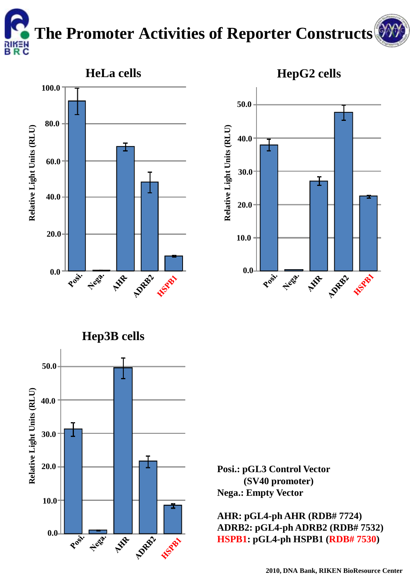## **The Promoter Activities of Reporter Constructs** RIKEN<br>B R C

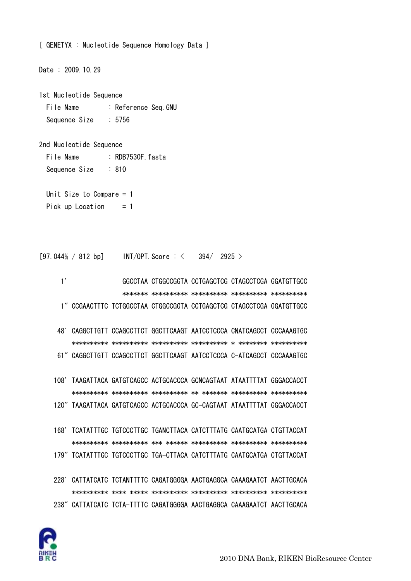

- 228' CATTATCATC TCTANTTTTC CAGATGGGGA AACTGAGGCA CAAAGAATCT AACTTGCACA 238" CATTATCATC TCTA-TTTTC CAGATGGGGA AACTGAGGCA CAAAGAATCT AACTTGCACA
- 168' TCATATTTGC TGTCCCTTGC TGANCTTACA CATCTTTATG CAATGCATGA CTGTTACCAT 179" TCATATTTGC TGTCCCTTGC TGA-CTTACA CATCTTTATG CAATGCATGA CTGTTACCAT
- 108' TAAGATTACA GATGTCAGCC ACTGCACCCA GCNCAGTAAT ATAATTTTAT GGGACCACCT 120" TAAGATTACA GATGTCAGCC ACTGCACCCA GC-CAGTAAT ATAATTTTAT GGGACCACCT
- 48' CAGGCTTGTT CCAGCCTTCT GGCTTCAAGT AATCCTCCCA CNATCAGCCT CCCAAAGTGC 61" CAGGCTTGTT CCAGCCTTCT GGCTTCAAGT AATCCTCCCA C-ATCAGCCT CCCAAAGTGC
- $1'$ GGCCTAA CTGGCCGGTA CCTGAGCTCG CTAGCCTCGA GGATGTTGCC 1" CCGAACTTTC TCTGGCCTAA CTGGCCGGTA CCTGAGCTCG CTAGCCTCGA GGATGTTGCC
- $[97.044\% / 812$  bp]  $INT/OPT$ . Score  $:\,\,<\,$  $394/2925$

:  $R$ DB7530F  $f$ asta

 $: 810$ 

- Unit Size to Compare  $= 1$ Pick up Location  $= 1$
- 
- 
- 
- 
- 
- 
- 
- 2nd Nucleotide Sequence
- Sequence Size

File Name

Sequence Size

- File Name : Reference Seq. GNU  $: 5756$
- 1st Nucleotide Sequence
- Date: 2009.10.29
- [ GENETYX : Nucleotide Sequence Homology Data ]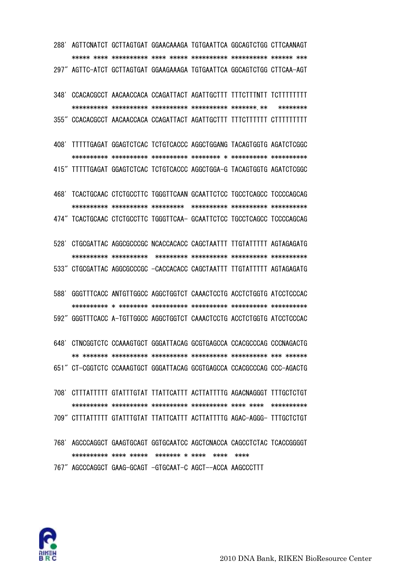

768' AGCCCAGGCT GAAGTGCAGT GGTGCAATCC AGCTCNACCA CAGCCTCTAC TCACCGGGGT 

767" AGCCCAGGCT GAAG-GCAGT -GTGCAAT-C AGCT--ACCA AAGCCCTTT

- 708' CITTATTTTI GTATTTGTAT TTATTCATTT ACTTATTTTG AGACNAGGGT TTTGCTCTGT 709" CITTATTTTI GTATTTGTAT TTATTCATTT ACTTATTTTG AGAC-AGGG- TTTGCTCTGT
- 651" CT-CGGTCTC CCAAAGTGCT GGGATTACAG GCGTGAGCCA CCACGCCCAG CCC-AGACTG

648' CTNCGGTCTC CCAAAGTGCT GGGATTACAG GCGTGAGCCA CCACGCCCAG CCCNAGACTG

592" GGGTTTCACC A-TGTTGGCC AGGCTGGTCT CAAACTCCTG ACCTCTGGTG ATCCTCCCAC

588' GGGTTTCACC ANTGTTGGCC AGGCTGGTCT CAAACTCCTG ACCTCTGGTG ATCCTCCCAC

- 528' CTGCGATTAC AGGCGCCCGC NCACCACACC CAGCTAATTT TTGTATTTTT AGTAGAGATG 533" CTGCGATTAC AGGCGCCCGC -CACCACACC CAGCTAATTT TTGTATTTTT AGTAGAGATG
- 468' TCACTGCAAC CTCTGCCTTC TGGGTTCAAN GCAATTCTCC TGCCTCAGCC TCCCCAGCAG 474" TCACTGCAAC CTCTGCCTTC TGGGTTCAA- GCAATTCTCC TGCCTCAGCC TCCCCAGCAG
- 408' TITTTGAGAT GGAGTCTCAC TCTGTCACCC AGGCTGGANG TACAGTGGTG AGATCTCGGC 415" TTTTTGAGAT GGAGTCTCAC TCTGTCACCC AGGCTGGA-G TACAGTGGTG AGATCTCGGC
- 348' CCACACGCCT AACAACCACA CCAGATTACT AGATTGCTTT TTTCTTTNTT TCTTTTTTTT \*\*\*\*\*\*\*\* 355" CCACACGCCT AACAACCACA CCAGATTACT AGATTGCTTT TTTCTTTTTT CTTTTTTTTT
- 288' AGTTCNATCT GCTTAGTGAT GGAACAAAGA TGTGAATTCA GGCAGTCTGG CTTCAANAGT 297" AGTTC-ATCT GCTTAGTGAT GGAAGAAAGA TGTGAATTCA GGCAGTCTGG CTTCAA-AGT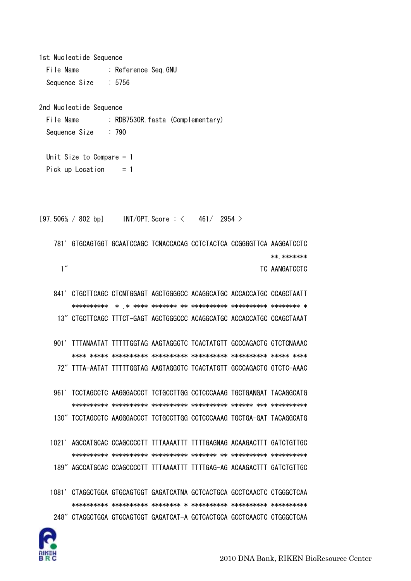```
1st Nucleotide Sequence
 File Name
              : Reference Seq.GNU
 Sequence Size
              \therefore 5756
2nd Nucleotide Sequence
 File Name
              : RDB7530R. fasta (Complementary)
 Sequence Size
              \therefore 790
 Unit Size to Compare = 1Pick up Location
                 = 1[97.506% / 802 bp] INT/OPT. Score: \langle 461/2954 \rangle781' GTGCAGTGGT GCAATCCAGC TCNACCACAG CCTCTACTCA CCGGGGTTCA AAGGATCCTC
                                                  ** *******
    1''TC AANGATCCTC
   841' CTGCTTCAGC CTCNTGGAGT AGCTGGGGCC ACAGGCATGC ACCACCATGC CCAGCTAATT
       13" CTGCTTCAGC TTTCT-GAGT AGCTGGGCCC ACAGGCATGC ACCACCATGC CCAGCTAAAT
   901' TITANAATAT TITTTGGTAG AAGTAGGGTC TCACTATGTT GCCCAGACTG GTCTCNAAAC
       72" TITA-AATAT TITTIGGTAG AAGTAGGGTC TCACTATGTT GCCCAGACTG GTCTC-AAAC
   961' TCCTAGCCTC AAGGGACCCT TCTGCCTTGG CCTCCCAAAG TGCTGANGAT TACAGGCATG
       130" TCCTAGCCTC AAGGGACCCT TCTGCCTTGG CCTCCCAAAG TGCTGA-GAT TACAGGCATG
  1021' AGCCATGCAC CCAGCCCCTT TTTAAAATTT TTTTGAGNAG ACAAGACTTT GATCTGTTGC
       189" AGCCATGCAC CCAGCCCCTT TTTAAAATTT TTTTGAG-AG ACAAGACTTT GATCTGTTGC
  1081' CTAGGCTGGA GTGCAGTGGT GAGATCATNA GCTCACTGCA GCCTCAACTC CTGGGCTCAA
       248" CTAGGCTGGA GTGCAGTGGT GAGATCAT-A GCTCACTGCA GCCTCAACTC CTGGGCTCAA
```